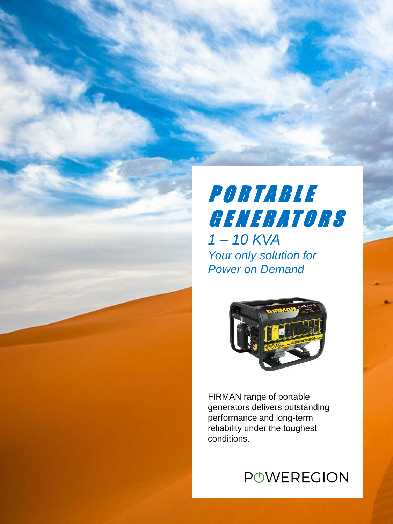### PORTABLE G E N E R A T O R S *1 – 10 KVA Your only solution for Power on Demand*



FIRMAN range of portable generators delivers outstanding performance and long-term reliability under the toughest conditions.

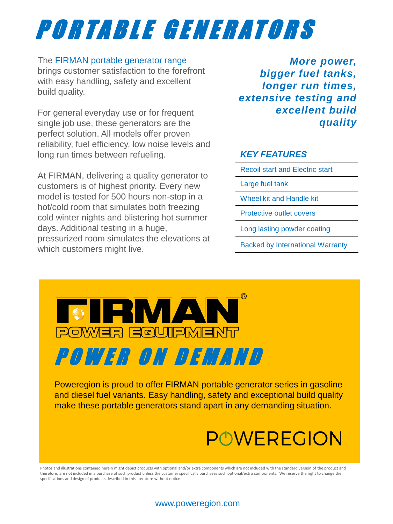## P O R T A B L E G E N E R A T O R S

### The FIRMAN portable generator range brings customer satisfaction to the forefront with easy handling, safety and excellent build quality.

For general everyday use or for frequent single job use, these generators are the perfect solution. All models offer proven reliability, fuel efficiency, low noise levels and long run times between refueling.

At FIRMAN, delivering a quality generator to customers is of highest priority. Every new model is tested for 500 hours non-stop in a hot/cold room that simulates both freezing cold winter nights and blistering hot summer days. Additional testing in a huge, pressurized room simulates the elevations at which customers might live.

*More power, bigger fuel tanks, longer run times, extensive testing and excellent build quality*

### *KEY FEATURES*

- Recoil start and Electric start
- Large fuel tank
- Wheel kit and Handle kit
- Protective outlet covers
- Long lasting powder coating
- Backed by International Warranty



Poweregion is proud to offer FIRMAN portable generator series in gasoline and diesel fuel variants. Easy handling, safety and exceptional build quality make these portable generators stand apart in any demanding situation.

## **POWEREGION**

Photos and illustrations contained herein might depict products with optional and/or extra components which are not included with the standard version of the product and therefore, are not included in a purchase of such product unless the customer specifically purchases such optional/extra components. We reserve the right to change the specifications and design of products described in this literature without notice.

#### www.poweregion.com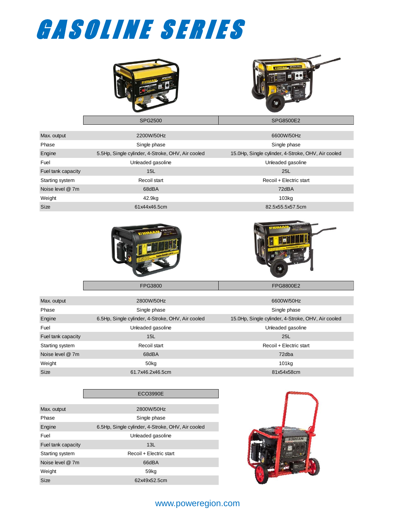# GASOLINE SERIES



| Max. output        | 2200W/50Hz                                        | 6600W/50Hz                                         |
|--------------------|---------------------------------------------------|----------------------------------------------------|
| Phase              | Single phase                                      | Single phase                                       |
| Engine             | 5.5Hp, Single cylinder, 4-Stroke, OHV, Air cooled | 15.0Hp, Single cylinder, 4-Stroke, OHV, Air cooled |
| Fuel               | Unleaded gasoline                                 | Unleaded gasoline                                  |
| Fuel tank capacity | 15L                                               | 25L                                                |
| Starting system    | Recoil start                                      | Recoil + Electric start                            |
| Noise level @ 7m   | 68dBA                                             | 72dBA                                              |
| Weight             | 42.9kg                                            | 103 <sub>kq</sub>                                  |
| <b>Size</b>        | 61x44x46.5cm                                      | 82.5x55.5x57.5cm                                   |





| Max. output        | 2800W/50Hz                                        | 6600W/50Hz                                         |
|--------------------|---------------------------------------------------|----------------------------------------------------|
| Phase              | Single phase                                      | Single phase                                       |
| Engine             | 6.5Hp, Single cylinder, 4-Stroke, OHV, Air cooled | 15.0Hp, Single cylinder, 4-Stroke, OHV, Air cooled |
| Fuel               | Unleaded gasoline                                 | Unleaded gasoline                                  |
| Fuel tank capacity | 15L                                               | 25L                                                |
| Starting system    | Recoil start                                      | Recoil + Electric start                            |
| Noise level @ 7m   | 68dBA                                             | 72dba                                              |
| Weight             | 50kg                                              | 101kg                                              |
| <b>Size</b>        | 61.7x46.2x46.5cm                                  | 81x54x58cm                                         |

FPG3800 FPG8800E2

|                    | <b>ECO3990E</b>                                   |
|--------------------|---------------------------------------------------|
|                    |                                                   |
| Max. output        | 2800W/50Hz                                        |
| Phase              | Single phase                                      |
| Engine             | 6.5Hp, Single cylinder, 4-Stroke, OHV, Air cooled |
| Fuel               | Unleaded gasoline                                 |
| Fuel tank capacity | 13L                                               |
| Starting system    | Recoil + Electric start                           |
| Noise level @ 7m   | 66dBA                                             |
| Weight             | 59kg                                              |
| Size               | 62x49x52.5cm                                      |



### www.poweregion.com